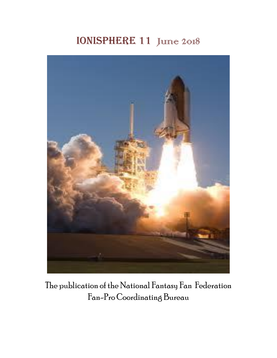# IONISPHERE 11 June 2018



The publication of the National Fantasy Fan Federation Fan-Pro Coordinating Bureau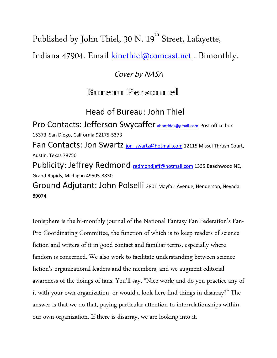Published by John Thiel, 30 N. 19<sup>th</sup> Street, Lafayette,

Indiana 47904. Email [kinethiel@comcast.net](mailto:kinethiel@comcast.net) . Bimonthly.

### Cover by NASA

# Bureau Personnél

# Head of Bureau: John Thiel

Pro Contacts: Jefferson Swycaffer [abontides@gmail.com](mailto:abontides@gmail.com) Post office box 15373, San Diego, California 92175-5373 Fan Contacts: Jon Swartz jon swartz@hotmail.com 12115 Missel Thrush Court, Austin, Texas 78750 Publicity: Jeffrey Redmond redmondieff@hotmail.com 1335 Beachwood NE, Grand Rapids, Michigan 49505-3830 Ground Adjutant: John Polselli 2801 Mayfair Avenue, Henderson, Nevada 89074

Ionisphere is the bi-monthly journal of the National Fantasy Fan Federation's Fan-Pro Coordinating Committee, the function of which is to keep readers of science fiction and writers of it in good contact and familiar terms, especially where fandom is concerned. We also work to facilitate understanding between science fiction's organizational leaders and the members, and we augment editorial awareness of the doings of fans. You'll say, "Nice work; and do you practice any of it with your own organization, or would a look here find things in disarray?" The answer is that we do that, paying particular attention to interrelationships within our own organization. If there is disarray, we are looking into it.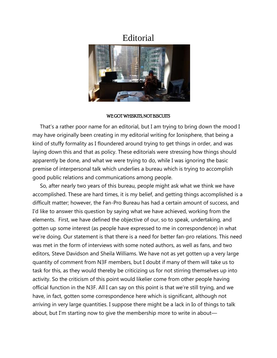#### **Editorial**



#### WE GOT WHISKITS, NOT BISCUITS

 That's a rather poor name for an editorial, but I am trying to bring down the mood I may have originally been creating in my editorial writing for Ionisphere, that being a kind of stuffy formality as I floundered around trying to get things in order, and was laying down this and that as policy. These editorials were stressing how things should apparently be done, and what we were trying to do, while I was ignoring the basic premise of interpersonal talk which underlies a bureau which is trying to accomplish good public relations and communications among people.

 So, after nearly two years of this bureau, people might ask what we think we have accomplished. These are hard times, it is my belief, and getting things accomplished is a difficult matter; however, the Fan-Pro Bureau has had a certain amount of success, and I'd like to answer this question by saying what we have achieved, working from the elements. First, we have defined the objective of our, so to speak, undertaking, and gotten up some interest (as people have expressed to me in correspondence) in what we're doing. Our statement is that there is a need for better fan-pro relations. This need was met in the form of interviews with some noted authors, as well as fans, and two editors, Steve Davidson and Sheila Williams. We have not as yet gotten up a very large quantity of comment from N3F members, but I doubt if many of them will take us to task for this, as they would thereby be criticizing us for not stirring themselves up into activity. So the criticism of this point would likelier come from other people having official function in the N3F. All I can say on this point is that we're still trying, and we have, in fact, gotten some correspondence here which is significant, although not arriving in very large quantities. I suppose there might be a lack in Io of things to talk about, but I'm starting now to give the membership more to write in about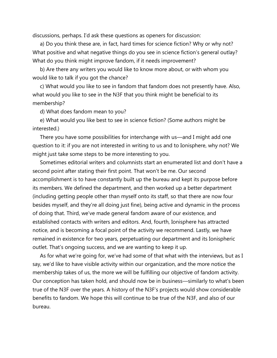discussions, perhaps. I'd ask these questions as openers for discussion:

 a) Do you think these are, in fact, hard times for science fiction? Why or why not? What positive and what negative things do you see in science fiction's general outlay? What do you think might improve fandom, if it needs improvement?

 b) Are there any writers you would like to know more about, or with whom you would like to talk if you got the chance?

 c) What would you like to see in fandom that fandom does not presently have. Also, what would you like to see in the N3F that you think might be beneficial to its membership?

d) What does fandom mean to you?

 e) What would you like best to see in science fiction? (Some authors might be interested.)

 There you have some possibilities for interchange with us—and I might add one question to it: if you are not interested in writing to us and to Ionisphere, why not? We might just take some steps to be more interesting to you.

 Sometimes editorial writers and columnists start an enumerated list and don't have a second point after stating their first point. That won't be me. Our second accomplishment is to have constantly built up the bureau and kept its purpose before its members. We defined the department, and then worked up a better department (including getting people other than myself onto its staff, so that there are now four besides myself, and they're all doing just fine), being active and dynamic in the process of doing that. Third, we've made general fandom aware of our existence, and established contacts with writers and editors. And, fourth, Ionisphere has attracted notice, and is becoming a focal point of the activity we recommend. Lastly, we have remained in existence for two years, perpetuating our department and its Ionispheric outlet. That's ongoing success, and we are wanting to keep it up.

 As for what we're going for, we've had some of that what with the interviews, but as I say, we'd like to have visible activity within our organization, and the more notice the membership takes of us, the more we will be fulfilling our objective of fandom activity. Our conception has taken hold, and should now be in business—similarly to what's been true of the N3F over the years. A history of the N3F's projects would show considerable benefits to fandom. We hope this will continue to be true of the N3F, and also of our bureau.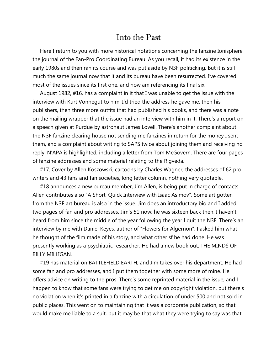#### Into the Past

 Here I return to you with more historical notations concerning the fanzine Ionisphere, the journal of the Fan-Pro Coordinating Bureau. As you recall, it had its existence in the early 1980s and then ran its course and was put aside by N3F politicking. But it is still much the same journal now that it and its bureau have been resurrected. I've covered most of the issues since its first one, and now am referencing its final six.

 August 1982, #16, has a complaint in it that I was unable to get the issue with the interview with Kurt Vonnegut to him. I'd tried the address he gave me, then his publishers, then three more outfits that had published his books, and there was a note on the mailing wrapper that the issue had an interview with him in it. There's a report on a speech given at Purdue by astronaut James Lovell. There's another complaint about the N3F fanzine clearing house not sending me fanzines in return for the money I sent them, and a complaint about writing to SAPS twice about joining them and receiving no reply. N'APA is highlighted, including a letter from Tom McGovern. There are four pages of fanzine addresses and some material relating to the Rigveda.

 #17. Cover by Allen Koszowski, cartoons by Charles Wagner, the addresses of 62 pro writers and 43 fans and fan societies, long letter column, nothing very quotable.

 #18 announces a new bureau member, Jim Allen, is being put in charge of contacts. Allen contributes also "A Short, Quick Interview with Isaac Asimov". Some art gotten from the N3F art bureau is also in the issue. Jim does an introductory bio and I added two pages of fan and pro addresses. Jim's 51 now; he was sixteen back then. I haven't heard from him since the middle of the year following the year I quit the N3F. There's an interview by me with Daniel Keyes, author of "Flowers for Algernon". I asked him what he thought of the film made of his story, and what other sf he had done. He was presently working as a psychiatric researcher. He had a new book out, THE MINDS OF BILLY MILLIGAN.

 #19 has material on BATTLEFIELD EARTH, and Jim takes over his department. He had some fan and pro addresses, and I put them together with some more of mine. He offers advice on writing to the pros. There's some reprinted material in the issue, and I happen to know that some fans were trying to get me on copyright violation, but there's no violation when it's printed in a fanzine with a circulation of under 500 and not sold in public places. This went on to maintaining that it was a corporate publication, so that would make me liable to a suit, but it may be that what they were trying to say was that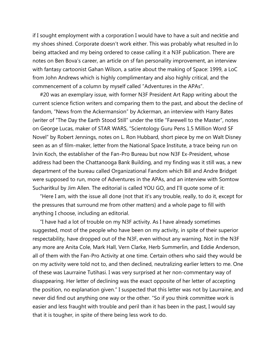if I sought employment with a corporation I would have to have a suit and necktie and my shoes shined. Corporate doesn't work either. This was probably what resulted in Io being attacked and my being ordered to cease calling it a N3F publication. There are notes on Ben Bova's career, an article on sf fan personality improvement, an interview with fantasy cartoonist Gahan Wilson, a satire about the making of Space: 1999, a LoC from John Andrews which is highly complimentary and also highly critical, and the commencement of a column by myself called "Adventures in the APAs".

 #20 was an exemplary issue, with former N3F President Art Rapp writing about the current science fiction writers and comparing them to the past, and about the decline of fandom, "News from the Ackermansion" by Ackerman, an interview with Harry Bates (writer of "The Day the Earth Stood Still" under the title "Farewell to the Master", notes on George Lucas, maker of STAR WARS, "Scientology Guru Pens 1.5 Million Word SF Novel" by Robert Jennings, notes on L. Ron Hubbard, short piece by me on Walt Disney seen as an sf film-maker, letter from the National Space Institute, a trace being run on Irvin Koch, the establisher of the Fan-Pro Bureau but now N3F Ex-President, whose address had been the Chattanooga Bank Building, and my finding was it still was, a new department of the bureau called Organizational Fandom which Bill and Andre Bridget were supposed to run, more of Adventures in the APAs, and an interview with Somtow Sucharitkul by Jim Allen. The editorial is called YOU GO, and I'll quote some of it:

 "Here I am, with the issue all done (not that it's any trouble, really, to do it, except for the pressures that surround me from other matters) and a whole page to fill with anything I choose, including an editorial.

 "I have had a lot of trouble on my N3F activity. As I have already sometimes suggested, most of the people who have been on my activity, in spite of their superior respectability, have dropped out of the N3F, even without any warning. Not in the N3F any more are Anita Cole, Mark Hall, Vern Clarke, Herb Summerlin, and Eddie Anderson, all of them with the Fan-Pro Activity at one time. Certain others who said they would be on my activity were told not to, and then declined, neutralizing earlier letters to me. One of these was Laurraine Tutihasi. I was very surprised at her non-commentary way of disappearing. Her letter of declining was the exact opposite of her letter of accepting the position, no explanation given." I suspected that this letter was not by Laurraine, and never did find out anything one way or the other. "So if you think committee work is easier and less fraught with trouble and peril than it has been in the past, I would say that it is tougher, in spite of there being less work to do.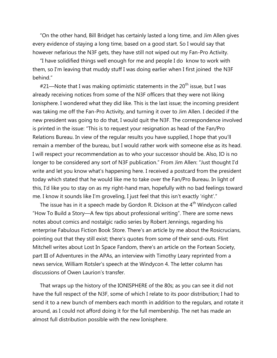"On the other hand, Bill Bridget has certainly lasted a long time, and Jim Allen gives every evidence of staying a long time, based on a good start. So I would say that however nefarious the N3F gets, they have still not wiped out my Fan-Pro Activity.

 "I have solidified things well enough for me and people I do know to work with them, so I'm leaving that muddy stuff I was doing earlier when I first joined the N3F behind."

 $#21$ —Note that I was making optimistic statements in the  $20<sup>th</sup>$  issue, but I was already receiving notices from some of the N3F officers that they were not liking Ionisphere. I wondered what they did like. This is the last issue; the incoming president was taking me off the Fan-Pro Activity, and turning it over to Jim Allen. I decided if the new president was going to do that, I would quit the N3F. The correspondence involved is printed in the issue: "This is to request your resignation as head of the Fan/Pro Relations Bureau. In view of the regular results you have supplied, I hope that you'll remain a member of the bureau, but I would rather work with someone else as its head. I will respect your recommendation as to who your successor should be. Also, IO is no longer to be considered any sort of N3F publication." From Jim Allen: "Just thought I'd write and let you know what's happening here. I received a postcard from the president today which stated that he would like me to take over the Fan/Pro Bureau. In light of this, I'd like you to stay on as my right-hand man, hopefully with no bad feelings toward me. I know it sounds like I'm groveling, I just feel that this isn't exactly 'right'."

The issue has in it a speech made by Gordon R. Dickson at the  $4<sup>th</sup>$  Windycon called "How To Build a Story—A few tips about professional writing". There are some news notes about comics and nostalgic radio series by Robert Jennings, regarding his enterprise Fabulous Fiction Book Store. There's an article by me about the Rosicrucians, pointing out that they still exist; there's quotes from some of their send-outs. Flint Mitchell writes about Lost In Space Fandom, there's an article on the Fortean Society, part III of Adventures in the APAs, an interview with Timothy Leary reprinted from a news service, William Rotsler's speech at the Windycon 4. The letter column has discussions of Owen Laurion's transfer.

 That wraps up the history of the IONISPHERE of the 80s; as you can see it did not have the full respect of the N3F, some of which I relate to its poor distribution; I had to send it to a new bunch of members each month in addition to the regulars, and rotate it around, as I could not afford doing it for the full membership. The net has made an almost full distribution possible with the new Ionisphere.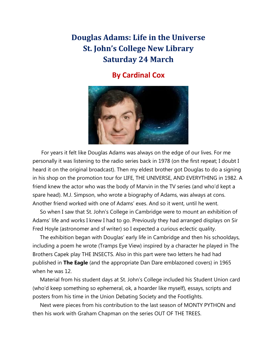## **Douglas Adams: Life in the Universe St. John's College New Library Saturday 24 March**

#### **By Cardinal Cox**



 For years it felt like Douglas Adams was always on the edge of our lives. For me personally it was listening to the radio series back in 1978 (on the first repeat; I doubt I heard it on the original broadcast). Then my eldest brother got Douglas to do a signing in his shop on the promotion tour for LIFE, THE UNIVERSE, AND EVERYTHING in 1982. A friend knew the actor who was the body of Marvin in the TV series (and who'd kept a spare head). M.J. Simpson, who wrote a biography of Adams, was always at cons. Another friend worked with one of Adams' exes. And so it went, until he went.

 So when I saw that St. John's College in Cambridge were to mount an exhibition of Adams' life and works I knew I had to go. Previously they had arranged displays on Sir Fred Hoyle (astronomer and sf writer) so I expected a curious eclectic quality.

 The exhibition began with Douglas' early life in Cambridge and then his schooldays, including a poem he wrote (Tramps Eye View) inspired by a character he played in The Brothers Capek play THE INSECTS. Also in this part were two letters he had had published in **The Eagle** (and the appropriate Dan Dare emblazoned covers) in 1965 when he was 12.

 Material from his student days at St. John's College included his Student Union card (who'd keep something so ephemeral, ok, a hoarder like myself), essays, scripts and posters from his time in the Union Debating Society and the Footlights.

 Next were pieces from his contribution to the last season of MONTY PYTHON and then his work with Graham Chapman on the series OUT OF THE TREES.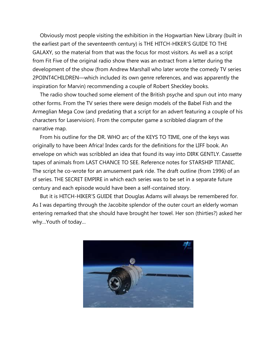Obviously most people visiting the exhibition in the Hogwartian New Library (built in the earliest part of the seventeenth century) is THE HITCH-HIKER'S GUIDE TO THE GALAXY, so the material from that was the focus for most visitors. As well as a script from Fit Five of the original radio show there was an extract from a letter during the development of the show (from Andrew Marshall who later wrote the comedy TV series 2POINT4CHILDREN—which included its own genre references, and was apparently the inspiration for Marvin) recommending a couple of Robert Sheckley books.

 The radio show touched some element of the British psyche and spun out into many other forms. From the TV series there were design models of the Babel Fish and the Armeglian Mega Cow (and predating that a script for an advert featuring a couple of his characters for Laservision). From the computer game a scribbled diagram of the narrative map.

 From his outline for the DR. WHO arc of the KEYS TO TIME, one of the keys was originally to have been Africa! Index cards for the definitions for the LIFF book. An envelope on which was scribbled an idea that found its way into DIRK GENTLY. Cassette tapes of animals from LAST CHANCE TO SEE. Reference notes for STARSHIP TITANIC. The script he co-wrote for an amusement park ride. The draft outline (from 1996) of an sf series. THE SECRET EMPIRE in which each series was to be set in a separate future century and each episode would have been a self-contained story.

 But it is HITCH-HIKER'S GUIDE that Douglas Adams will always be remembered for. As I was departing through the Jacobite splendor of the outer court an elderly woman entering remarked that she should have brought her towel. Her son (thirties?) asked her why…Youth of today…

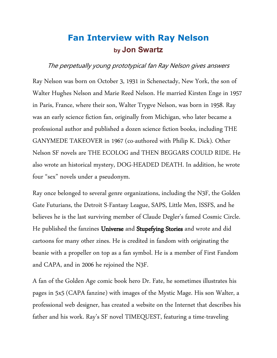# **Fan Interview with Ray Nelson by Jon Swartz**

#### The perpetually young prototypical fan Ray Nelson gives answers

Ray Nelson was born on October 3, 1931 in Schenectady, New York, the son of Walter Hughes Nelson and Marie Reed Nelson. He married Kirsten Enge in 1957 in Paris, France, where their son, Walter Trygve Nelson, was born in 1958. Ray was an early science fiction fan, originally from Michigan, who later became a professional author and published a dozen science fiction books, including THE GANYMEDE TAKEOVER in 1967 (co-authored with Philip K. Dick). Other Nelson SF novels are THE ECOLOG and THEN BEGGARS COULD RIDE. He also wrote an historical mystery, DOG-HEADED DEATH. In addition, he wrote four "sex" novels under a pseudonym.

Ray once belonged to several genre organizations, including the N3F, the Golden Gate Futurians, the Detroit S-Fantasy League, SAPS, Little Men, ISSFS, and he believes he is the last surviving member of Claude Degler's famed Cosmic Circle. He published the fanzines Universe and Stupefying Stories and wrote and did cartoons for many other zines. He is credited in fandom with originating the beanie with a propeller on top as a fan symbol. He is a member of First Fandom and CAPA, and in 2006 he rejoined the N3F.

A fan of the Golden Age comic book hero Dr. Fate, he sometimes illustrates his pages in 5x5 (CAPA fanzine) with images of the Mystic Mage. His son Walter, a professional web designer, has created a website on the Internet that describes his father and his work. Ray's SF novel TIMEQUEST, featuring a time-traveling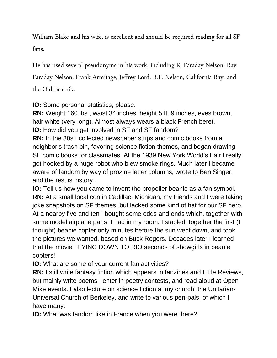William Blake and his wife, is excellent and should be required reading for all SF fans.

He has used several pseudonyms in his work, including R. Faraday Nelson, Ray Faraday Nelson, Frank Armitage, Jeffrey Lord, R.F. Nelson, California Ray, and

the Old Beatnik.

**IO:** Some personal statistics, please.

**RN:** Weight 160 lbs., waist 34 inches, height 5 ft. 9 inches, eyes brown, hair white (very long). Almost always wears a black French beret. **IO:** How did you get involved in SF and SF fandom?

**RN:** In the 30s I collected newspaper strips and comic books from a neighbor's trash bin, favoring science fiction themes, and began drawing SF comic books for classmates. At the 1939 New York World's Fair I really got hooked by a huge robot who blew smoke rings. Much later I became aware of fandom by way of prozine letter columns, wrote to Ben Singer, and the rest is history.

**IO:** Tell us how you came to invent the propeller beanie as a fan symbol. **RN:** At a small local con in Cadillac, Michigan, my friends and I were taking joke snapshots on SF themes, but lacked some kind of hat for our SF hero. At a nearby five and ten I bought some odds and ends which, together with some model airplane parts, I had in my room. I stapled together the first (I thought) beanie copter only minutes before the sun went down, and took the pictures we wanted, based on Buck Rogers. Decades later I learned that the movie FLYING DOWN TO RIO seconds of showgirls in beanie copters!

**IO:** What are some of your current fan activities?

**RN:** I still write fantasy fiction which appears in fanzines and Little Reviews, but mainly write poems I enter in poetry contests, and read aloud at Open Mike events. I also lecture on science fiction at my church, the Unitarian-Universal Church of Berkeley, and write to various pen-pals, of which I have many.

**IO:** What was fandom like in France when you were there?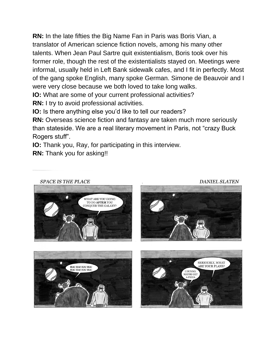**RN:** In the late fifties the Big Name Fan in Paris was Boris Vian, a translator of American science fiction novels, among his many other talents. When Jean Paul Sartre quit existentialism, Boris took over his former role, though the rest of the existentialists stayed on. Meetings were informal, usually held in Left Bank sidewalk cafes, and I fit in perfectly. Most of the gang spoke English, many spoke German. Simone de Beauvoir and I were very close because we both loved to take long walks.

**IO:** What are some of your current professional activities?

**RN:** I try to avoid professional activities.

**IO:** Is there anything else you'd like to tell our readers?

**RN:** Overseas science fiction and fantasy are taken much more seriously than stateside. We are a real literary movement in Paris, not "crazy Buck Rogers stuff".

**IO:** Thank you, Ray, for participating in this interview.

**RN:** Thank you for asking!!

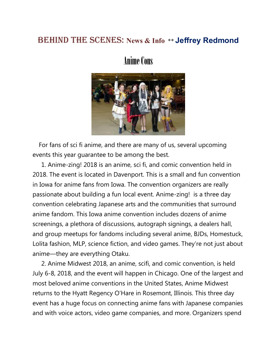#### **BEHIND THE SCENES: News & Info \*\* Jeffrey Redmond**

# Anime Cons



 For fans of sci fi anime, and there are many of us, several upcoming events this year guarantee to be among the best.

 1. Anime-zing! 2018 is an anime, sci fi, and comic convention held in 2018. The event is located in Davenport. This is a small and fun convention in Iowa for anime fans from Iowa. The convention organizers are really passionate about building a fun local event. Anime-zing! is a three day convention celebrating Japanese arts and the communities that surround anime fandom. This Iowa anime convention includes dozens of anime screenings, a plethora of discussions, autograph signings, a dealers hall, and group meetups for fandoms including several anime, BJDs, Homestuck, Lolita fashion, MLP, science fiction, and video games. They're not just about anime—they are everything Otaku.

 2. Anime Midwest 2018, an anime, scifi, and comic convention, is held July 6-8, 2018, and the event will happen in Chicago. One of the largest and most beloved anime conventions in the United States, Anime Midwest returns to the Hyatt Regency O'Hare in Rosemont, Illinois. This three day event has a huge focus on connecting anime fans with Japanese companies and with voice actors, video game companies, and more. Organizers spend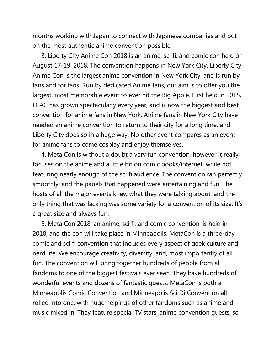months working with Japan to connect with Japanese companies and put on the most authentic anime convention possible.

 3. Liberty City Anime Con 2018 is an anime, sci fi, and comic con held on August 17-19, 2018. The convention happens in New York City. Liberty City Anime Con is the largest anime convention in New York City, and is run by fans and for fans. Run by dedicated Anime fans, our aim is to offer you the largest, most memorable event to ever hit the Big Apple. First held in 2015, LCAC has grown spectacularly every year, and is now the biggest and best convention for anime fans in New York. Anime fans in New York City have needed an anime convention to return to their city for a long time, and Liberty City does so in a huge way. No other event compares as an event for anime fans to come cosplay and enjoy themselves.

 4. Meta Con is without a doubt a very fun convention, however it really focuses on the anime and a little bit on comic books/internet, while not featuring nearly enough of the sci fi audience. The convention ran perfectly smoothly, and the panels that happened were entertaining and fun. The hosts of all the major events knew what they were talking about, and the only thing that was lacking was some variety for a convention of its size. It's a great size and always fun.

 5. Meta Con 2018, an anime, sci fi, and comic convention, is held in 2018, and the con will take place in Minneapolis. MetaCon is a three-day comic and sci fi convention that includes every aspect of geek culture and nerd life. We encourage creativity, diversity, and, most importantly of all, fun. The convention will bring together hundreds of people from all fandoms to one of the biggest festivals ever seen. They have hundreds of wonderful events and dozens of fantastic guests. MetaCon is both a Minneapolis Comic Convention and Minneapolis Sci Di Convention all rolled into one, with huge helpings of other fandoms such as anime and music mixed in. They feature special TV stars, anime convention guests, sci